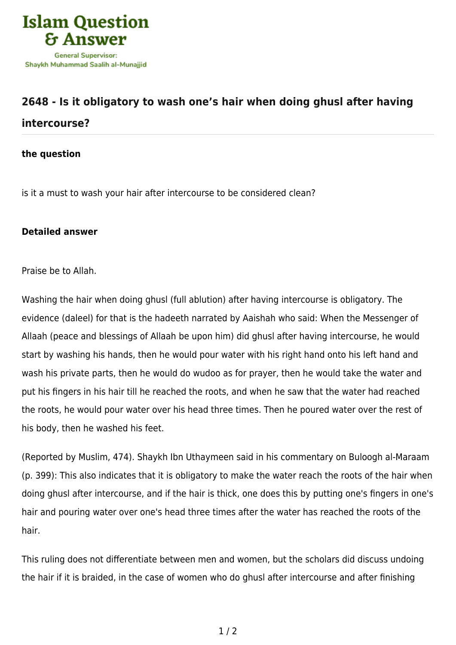

## **[2648 - Is it obligatory to wash one's hair when doing ghusl after having](https://islamqa.com/en/answers/2648/is-it-obligatory-to-wash-ones-hair-when-doing-ghusl-after-having-intercourse) [intercourse?](https://islamqa.com/en/answers/2648/is-it-obligatory-to-wash-ones-hair-when-doing-ghusl-after-having-intercourse)**

**the question**

is it a must to wash your hair after intercourse to be considered clean?

## **Detailed answer**

Praise be to Allah.

Washing the hair when doing ghusl (full ablution) after having intercourse is obligatory. The evidence (daleel) for that is the hadeeth narrated by Aaishah who said: When the Messenger of Allaah (peace and blessings of Allaah be upon him) did ghusl after having intercourse, he would start by washing his hands, then he would pour water with his right hand onto his left hand and wash his private parts, then he would do wudoo as for prayer, then he would take the water and put his fingers in his hair till he reached the roots, and when he saw that the water had reached the roots, he would pour water over his head three times. Then he poured water over the rest of his body, then he washed his feet.

(Reported by Muslim, 474). Shaykh Ibn Uthaymeen said in his commentary on Buloogh al-Maraam (p. 399): This also indicates that it is obligatory to make the water reach the roots of the hair when doing ghusl after intercourse, and if the hair is thick, one does this by putting one's fingers in one's hair and pouring water over one's head three times after the water has reached the roots of the hair.

This ruling does not differentiate between men and women, but the scholars did discuss undoing the hair if it is braided, in the case of women who do ghusl after intercourse and after finishing